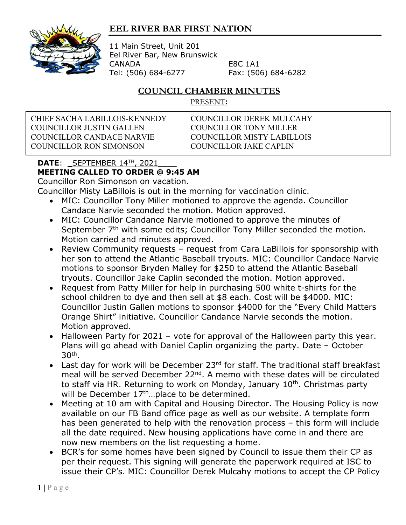## **EEL RIVER BAR FIRST NATION**



11 Main Street, Unit 201 Eel River Bar, New Brunswick CANADA E8C 1A1 Tel: (506) 684-6277 Fax: (506) 684-6282

## **COUNCIL CHAMBER MINUTES**

PRESENT**:**

CHIEF SACHA LABILLOIS-KENNEDY COUNCILLOR DEREK MULCAHY COUNCILLOR JUSTIN GALLEN COUNCILLOR TONY MILLER COUNCILLOR CANDACE NARVIE COUNCILLOR MISTY LABILLOIS COUNCILLOR RON SIMONSON COUNCILLOR JAKE CAPLIN

## **DATE**: \_SEPTEMBER 14TH, 2021\_\_\_\_ **MEETING CALLED TO ORDER @ 9:45 AM**

Councillor Ron Simonson on vacation.

Councillor Misty LaBillois is out in the morning for vaccination clinic.

- MIC: Councillor Tony Miller motioned to approve the agenda. Councillor Candace Narvie seconded the motion. Motion approved.
- MIC: Councillor Candance Narvie motioned to approve the minutes of September 7<sup>th</sup> with some edits; Councillor Tony Miller seconded the motion. Motion carried and minutes approved.
- Review Community requests request from Cara LaBillois for sponsorship with her son to attend the Atlantic Baseball tryouts. MIC: Councillor Candace Narvie motions to sponsor Bryden Malley for \$250 to attend the Atlantic Baseball tryouts. Councillor Jake Caplin seconded the motion. Motion approved.
- Request from Patty Miller for help in purchasing 500 white t-shirts for the school children to dye and then sell at \$8 each. Cost will be \$4000. MIC: Councillor Justin Gallen motions to sponsor \$4000 for the "Every Child Matters Orange Shirt" initiative. Councillor Candance Narvie seconds the motion. Motion approved.
- Halloween Party for 2021 vote for approval of the Halloween party this year. Plans will go ahead with Daniel Caplin organizing the party. Date – October 30th.
- Last day for work will be December 23rd for staff. The traditional staff breakfast meal will be served December 22<sup>nd</sup>. A memo with these dates will be circulated to staff via HR. Returning to work on Monday, January  $10<sup>th</sup>$ . Christmas party will be December 17<sup>th</sup>...place to be determined.
- Meeting at 10 am with Capital and Housing Director. The Housing Policy is now available on our FB Band office page as well as our website. A template form has been generated to help with the renovation process – this form will include all the date required. New housing applications have come in and there are now new members on the list requesting a home.
- BCR's for some homes have been signed by Council to issue them their CP as per their request. This signing will generate the paperwork required at ISC to issue their CP's. MIC: Councillor Derek Mulcahy motions to accept the CP Policy